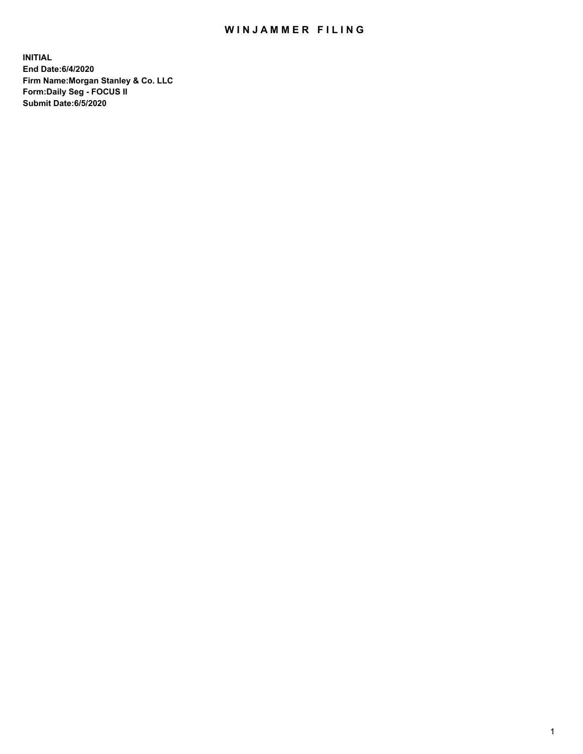## WIN JAMMER FILING

**INITIAL End Date:6/4/2020 Firm Name:Morgan Stanley & Co. LLC Form:Daily Seg - FOCUS II Submit Date:6/5/2020**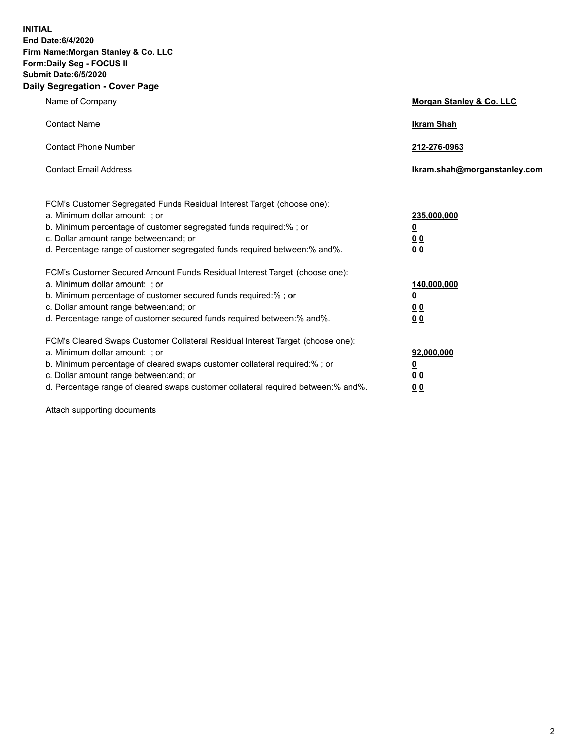**INITIAL End Date:6/4/2020 Firm Name:Morgan Stanley & Co. LLC Form:Daily Seg - FOCUS II Submit Date:6/5/2020 Daily Segregation - Cover Page**

| Name of Company                                                                                                                                                                                                                                                                                                                | Morgan Stanley & Co. LLC                                    |
|--------------------------------------------------------------------------------------------------------------------------------------------------------------------------------------------------------------------------------------------------------------------------------------------------------------------------------|-------------------------------------------------------------|
| <b>Contact Name</b>                                                                                                                                                                                                                                                                                                            | <b>Ikram Shah</b>                                           |
| <b>Contact Phone Number</b>                                                                                                                                                                                                                                                                                                    | 212-276-0963                                                |
| <b>Contact Email Address</b>                                                                                                                                                                                                                                                                                                   | Ikram.shah@morganstanley.com                                |
| FCM's Customer Segregated Funds Residual Interest Target (choose one):<br>a. Minimum dollar amount: ; or<br>b. Minimum percentage of customer segregated funds required:% ; or<br>c. Dollar amount range between: and; or<br>d. Percentage range of customer segregated funds required between: % and %.                       | 235,000,000<br><u>0</u><br>00<br>0 <sub>0</sub>             |
| FCM's Customer Secured Amount Funds Residual Interest Target (choose one):<br>a. Minimum dollar amount: ; or<br>b. Minimum percentage of customer secured funds required:%; or<br>c. Dollar amount range between: and; or<br>d. Percentage range of customer secured funds required between:% and%.                            | 140,000,000<br><u>0</u><br>0 <sub>0</sub><br>0 <sub>0</sub> |
| FCM's Cleared Swaps Customer Collateral Residual Interest Target (choose one):<br>a. Minimum dollar amount: ; or<br>b. Minimum percentage of cleared swaps customer collateral required:% ; or<br>c. Dollar amount range between: and; or<br>d. Percentage range of cleared swaps customer collateral required between:% and%. | 92,000,000<br><u>0</u><br>0 Q<br>0 <sub>0</sub>             |

Attach supporting documents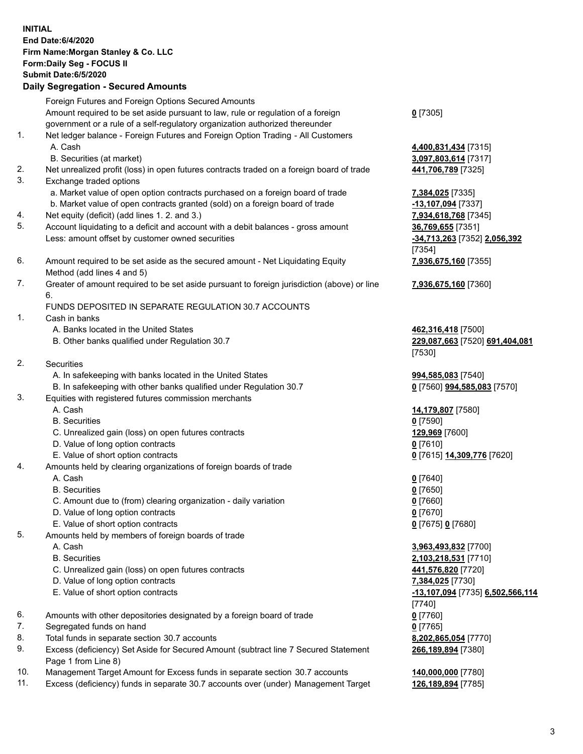| <b>INITIAL</b> | End Date: 6/4/2020<br>Firm Name: Morgan Stanley & Co. LLC<br>Form: Daily Seg - FOCUS II<br>Submit Date: 6/5/2020<br><b>Daily Segregation - Secured Amounts</b>  |                                                                |
|----------------|-----------------------------------------------------------------------------------------------------------------------------------------------------------------|----------------------------------------------------------------|
|                | Foreign Futures and Foreign Options Secured Amounts                                                                                                             |                                                                |
|                | Amount required to be set aside pursuant to law, rule or regulation of a foreign                                                                                | $0$ [7305]                                                     |
| 1.             | government or a rule of a self-regulatory organization authorized thereunder<br>Net ledger balance - Foreign Futures and Foreign Option Trading - All Customers |                                                                |
|                | A. Cash                                                                                                                                                         | 4,400,831,434 [7315]                                           |
|                | B. Securities (at market)                                                                                                                                       | 3,097,803,614 [7317]                                           |
| 2.             | Net unrealized profit (loss) in open futures contracts traded on a foreign board of trade                                                                       | 441,706,789 [7325]                                             |
| 3.             | Exchange traded options                                                                                                                                         |                                                                |
|                | a. Market value of open option contracts purchased on a foreign board of trade                                                                                  | 7,384,025 [7335]                                               |
| 4.             | b. Market value of open contracts granted (sold) on a foreign board of trade<br>Net equity (deficit) (add lines 1. 2. and 3.)                                   | $-13,107,094$ [7337]<br>7,934,618,768 [7345]                   |
| 5.             | Account liquidating to a deficit and account with a debit balances - gross amount                                                                               | 36,769,655 [7351]                                              |
|                | Less: amount offset by customer owned securities                                                                                                                | -34,713,263 [7352] 2,056,392<br>[7354]                         |
| 6.             | Amount required to be set aside as the secured amount - Net Liquidating Equity<br>Method (add lines 4 and 5)                                                    | 7,936,675,160 [7355]                                           |
| 7.             | Greater of amount required to be set aside pursuant to foreign jurisdiction (above) or line<br>6.                                                               | 7,936,675,160 [7360]                                           |
|                | FUNDS DEPOSITED IN SEPARATE REGULATION 30.7 ACCOUNTS                                                                                                            |                                                                |
| 1.             | Cash in banks                                                                                                                                                   |                                                                |
|                | A. Banks located in the United States<br>B. Other banks qualified under Regulation 30.7                                                                         | 462,316,418 [7500]<br>229,087,663 [7520] 691,404,081<br>[7530] |
| 2.             | <b>Securities</b>                                                                                                                                               |                                                                |
|                | A. In safekeeping with banks located in the United States                                                                                                       | 994,585,083 [7540]                                             |
|                | B. In safekeeping with other banks qualified under Regulation 30.7                                                                                              | 0 [7560] 994,585,083 [7570]                                    |
| 3.             | Equities with registered futures commission merchants                                                                                                           |                                                                |
|                | A. Cash<br><b>B.</b> Securities                                                                                                                                 | 14,179,807 [7580]<br>$0$ [7590]                                |
|                | C. Unrealized gain (loss) on open futures contracts                                                                                                             | 129,969 [7600]                                                 |
|                | D. Value of long option contracts                                                                                                                               | $0$ [7610]                                                     |
|                | E. Value of short option contracts                                                                                                                              | 0 [7615] 14,309,776 [7620]                                     |
| 4.             | Amounts held by clearing organizations of foreign boards of trade                                                                                               |                                                                |
|                | A. Cash                                                                                                                                                         | $0$ [7640]                                                     |
|                | <b>B.</b> Securities                                                                                                                                            | $0$ [7650]                                                     |
|                | C. Amount due to (from) clearing organization - daily variation<br>D. Value of long option contracts                                                            | $0$ [7660]<br>$0$ [7670]                                       |
|                | E. Value of short option contracts                                                                                                                              | 0 [7675] 0 [7680]                                              |
| 5.             | Amounts held by members of foreign boards of trade                                                                                                              |                                                                |
|                | A. Cash                                                                                                                                                         | 3,963,493,832 [7700]                                           |
|                | <b>B.</b> Securities                                                                                                                                            | 2,103,218,531 [7710]                                           |
|                | C. Unrealized gain (loss) on open futures contracts                                                                                                             | 441,576,820 [7720]                                             |
|                | D. Value of long option contracts<br>E. Value of short option contracts                                                                                         | 7,384,025 [7730]<br><u>-13,107,094</u> [7735] 6,502,566,114    |
|                |                                                                                                                                                                 | $[7740]$                                                       |
| 6.             | Amounts with other depositories designated by a foreign board of trade                                                                                          | $0$ [7760]                                                     |
| 7.             | Segregated funds on hand                                                                                                                                        | $0$ [7765]                                                     |
| 8.             | Total funds in separate section 30.7 accounts                                                                                                                   | 8,202,865,054 [7770]                                           |
| 9.             | Excess (deficiency) Set Aside for Secured Amount (subtract line 7 Secured Statement<br>Page 1 from Line 8)                                                      | 266,189,894 [7380]                                             |
| 10.            | Management Target Amount for Excess funds in separate section 30.7 accounts                                                                                     | 140,000,000 [7780]                                             |
| 11.            | Excess (deficiency) funds in separate 30.7 accounts over (under) Management Target                                                                              | 126,189,894 [7785]                                             |

3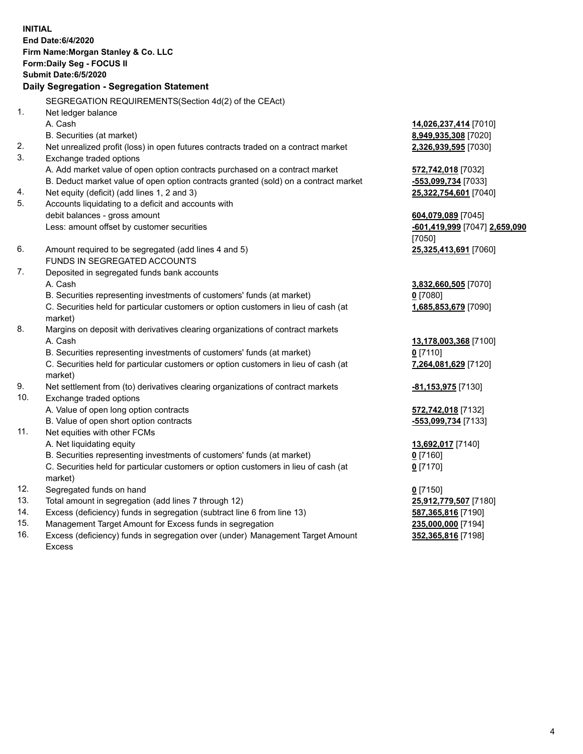|     | <b>INITIAL</b><br>End Date:6/4/2020<br>Firm Name: Morgan Stanley & Co. LLC<br>Form: Daily Seg - FOCUS II<br>Submit Date: 6/5/2020<br>Daily Segregation - Segregation Statement |                                               |
|-----|--------------------------------------------------------------------------------------------------------------------------------------------------------------------------------|-----------------------------------------------|
|     |                                                                                                                                                                                |                                               |
|     | SEGREGATION REQUIREMENTS(Section 4d(2) of the CEAct)                                                                                                                           |                                               |
| 1.  | Net ledger balance<br>A. Cash                                                                                                                                                  |                                               |
|     | B. Securities (at market)                                                                                                                                                      | 14,026,237,414 [7010]<br>8,949,935,308 [7020] |
| 2.  | Net unrealized profit (loss) in open futures contracts traded on a contract market                                                                                             | 2,326,939,595 [7030]                          |
| 3.  | Exchange traded options                                                                                                                                                        |                                               |
|     | A. Add market value of open option contracts purchased on a contract market                                                                                                    | 572,742,018 [7032]                            |
|     | B. Deduct market value of open option contracts granted (sold) on a contract market                                                                                            | -553,099,734 [7033]                           |
| 4.  | Net equity (deficit) (add lines 1, 2 and 3)                                                                                                                                    | 25,322,754,601 [7040]                         |
| 5.  | Accounts liquidating to a deficit and accounts with                                                                                                                            |                                               |
|     | debit balances - gross amount                                                                                                                                                  | 604,079,089 [7045]                            |
|     | Less: amount offset by customer securities                                                                                                                                     | <u>-601,419,999</u> [7047] 2,659,090          |
|     |                                                                                                                                                                                | [7050]                                        |
| 6.  | Amount required to be segregated (add lines 4 and 5)                                                                                                                           | 25,325,413,691 [7060]                         |
|     | FUNDS IN SEGREGATED ACCOUNTS                                                                                                                                                   |                                               |
| 7.  | Deposited in segregated funds bank accounts                                                                                                                                    |                                               |
|     | A. Cash                                                                                                                                                                        | 3,832,660,505 [7070]                          |
|     | B. Securities representing investments of customers' funds (at market)                                                                                                         | $0$ [7080]                                    |
|     | C. Securities held for particular customers or option customers in lieu of cash (at<br>market)                                                                                 | 1,685,853,679 [7090]                          |
| 8.  | Margins on deposit with derivatives clearing organizations of contract markets                                                                                                 |                                               |
|     | A. Cash                                                                                                                                                                        | 13,178,003,368 [7100]                         |
|     | B. Securities representing investments of customers' funds (at market)                                                                                                         | $0$ [7110]                                    |
|     | C. Securities held for particular customers or option customers in lieu of cash (at                                                                                            | 7,264,081,629 [7120]                          |
|     | market)                                                                                                                                                                        |                                               |
| 9.  | Net settlement from (to) derivatives clearing organizations of contract markets                                                                                                | -81,153,975 [7130]                            |
| 10. | Exchange traded options                                                                                                                                                        |                                               |
|     | A. Value of open long option contracts                                                                                                                                         | 572,742,018 [7132]                            |
|     | B. Value of open short option contracts                                                                                                                                        | -553,099,734 [7133]                           |
| 11. | Net equities with other FCMs                                                                                                                                                   |                                               |
|     | A. Net liquidating equity                                                                                                                                                      | 13,692,017 [7140]                             |
|     | B. Securities representing investments of customers' funds (at market)                                                                                                         | $0$ [7160]                                    |
|     | C. Securities held for particular customers or option customers in lieu of cash (at<br>market)                                                                                 | $0$ [7170]                                    |
| 12. | Segregated funds on hand                                                                                                                                                       | $0$ [7150]                                    |
| 13. | Total amount in segregation (add lines 7 through 12)                                                                                                                           | 25,912,779,507 [7180]                         |
| 14. | Excess (deficiency) funds in segregation (subtract line 6 from line 13)                                                                                                        | 587, 365, 816 [7190]                          |
| 4 E |                                                                                                                                                                                |                                               |

15. Management Target Amount for Excess funds in segregation<br>16. Excess (deficiency) funds in segregation over (under) Manag Excess (deficiency) funds in segregation over (under) Management Target Amount Excess

**352,365,816** [7198]